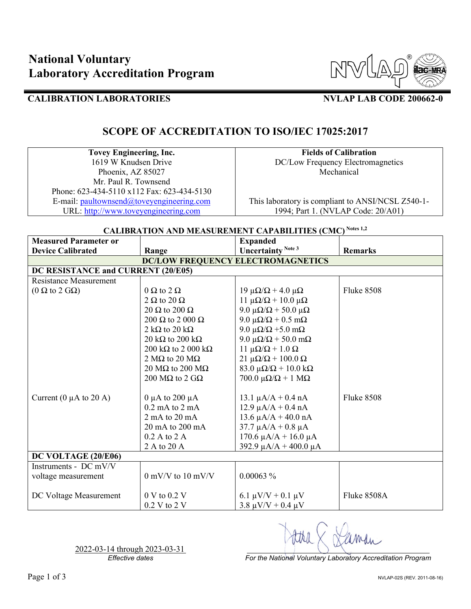

## **CALIBRATION LABORATORIES NVLAP LAB CODE 200662-0**

## **SCOPE OF ACCREDITATION TO ISO/IEC 17025:2017**

**Tovey Engineering, Inc.** 1619 W Knudsen Drive Phoenix, AZ 85027 Mr. Paul R. Townsend Phone: 623-434-5110 x112 Fax: 623-434-5130 E-mail: [paultownsend@toveyengineering.com](mailto:paultownsend@toveyengineering.com) URL: [http://www.toveyengineering.com](http://www.toveyengineering.com/)

**Fields of Calibration** DC/Low Frequency Electromagnetics Mechanical

This laboratory is compliant to ANSI/NCSL Z540-1- 1994; Part 1. (NVLAP Code: 20/A01)

### **CALIBRATION AND MEASUREMENT CAPABILITIES (CMC) Notes 1,2**

| <b>Measured Parameter or</b>             |                                       | <b>Expanded</b>                              |                   |  |  |
|------------------------------------------|---------------------------------------|----------------------------------------------|-------------------|--|--|
| <b>Device Calibrated</b>                 | Range                                 | Uncertainty <sup>Note 3</sup>                | <b>Remarks</b>    |  |  |
| <b>DC/LOW FREQUENCY ELECTROMAGNETICS</b> |                                       |                                              |                   |  |  |
| DC RESISTANCE and CURRENT (20/E05)       |                                       |                                              |                   |  |  |
| Resistance Measurement                   |                                       |                                              |                   |  |  |
| $(0 \Omega$ to 2 G $\Omega$ )            | $0 \Omega$ to $2 \Omega$              | $19 \mu\Omega/\Omega$ + 4.0 $\mu\Omega$      | <b>Fluke 8508</b> |  |  |
|                                          | $2 \Omega$ to $20 \Omega$             | 11 μ $\Omega/\Omega$ + 10.0 μ $\Omega$       |                   |  |  |
|                                          | 20 $\Omega$ to 200 $\Omega$           | 9.0 μ $\Omega/\Omega$ + 50.0 μ $\Omega$      |                   |  |  |
|                                          | 200 $\Omega$ to 2 000 $\Omega$        | 9.0 μ $\Omega/\Omega$ + 0.5 mΩ               |                   |  |  |
|                                          | 2 k $\Omega$ to 20 k $\Omega$         | 9.0 μ $\Omega/\Omega$ +5.0 mΩ                |                   |  |  |
|                                          | 20 kΩ to 200 kΩ                       | 9.0 μ $\Omega/\Omega$ + 50.0 mΩ              |                   |  |  |
|                                          | 200 k $\Omega$ to 2 000 k $\Omega$    | $11 \mu\Omega/\Omega + 1.0 \Omega$           |                   |  |  |
|                                          | 2 M $\Omega$ to 20 M $\Omega$         | $21 \mu\Omega/\Omega + 100.0 \Omega$         |                   |  |  |
|                                          | 20 M $\Omega$ to 200 M $\Omega$       | 83.0 $\mu\Omega/\Omega$ + 10.0 k $\Omega$    |                   |  |  |
|                                          | 200 M $\Omega$ to 2 G $\Omega$        | $700.0 \mu\Omega/\Omega + 1 \text{ M}\Omega$ |                   |  |  |
| Current (0 $\mu$ A to 20 A)              | 0 $\mu$ A to 200 $\mu$ A              | $13.1 \mu A/A + 0.4 \text{ nA}$              | <b>Fluke 8508</b> |  |  |
|                                          | $0.2 \text{ mA}$ to $2 \text{ mA}$    | $12.9 \mu A/A + 0.4 \text{ nA}$              |                   |  |  |
|                                          | $2 \text{ mA}$ to $20 \text{ mA}$     | $13.6 \mu A/A + 40.0 \text{ nA}$             |                   |  |  |
|                                          | 20 mA to 200 mA                       | $37.7 \mu A/A + 0.8 \mu A$                   |                   |  |  |
|                                          | 0.2 A to 2 A                          | $170.6 \mu A/A + 16.0 \mu A$                 |                   |  |  |
|                                          | 2 A to 20 A                           | 392.9 $\mu$ A/A + 400.0 $\mu$ A              |                   |  |  |
| DC VOLTAGE (20/E06)                      |                                       |                                              |                   |  |  |
| Instruments - DC mV/V                    |                                       |                                              |                   |  |  |
| voltage measurement                      | $0 \text{ mV/V}$ to $10 \text{ mV/V}$ | $0.00063\%$                                  |                   |  |  |
| DC Voltage Measurement                   | 0 V to 0.2 V                          | 6.1 $\mu$ V/V + 0.1 $\mu$ V                  | Fluke 8508A       |  |  |
|                                          | 0.2 V to 2 V                          | $3.8 \mu V/V + 0.4 \mu V$                    |                   |  |  |

2022-03-14 through 2023-03-31<br>Effective dates

*For the National Voluntary Laboratory Accreditation Program*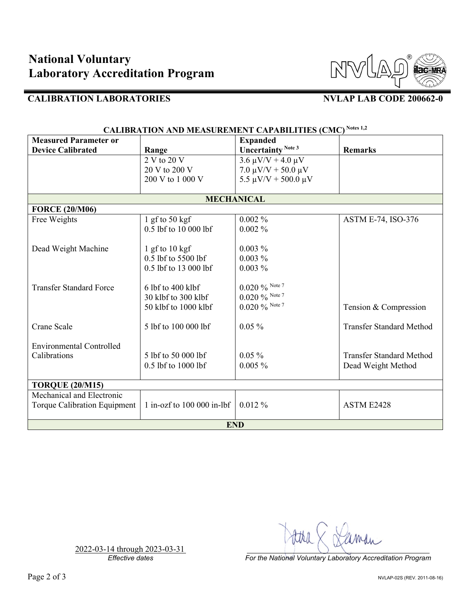

## **CALIBRATION LABORATORIES NVLAP LAB CODE 200662-0**

| <b>Measured Parameter or</b>    |                              | <b>Expanded</b>               |                                 |  |
|---------------------------------|------------------------------|-------------------------------|---------------------------------|--|
| <b>Device Calibrated</b>        | Range                        | Uncertainty <sup>Note 3</sup> | <b>Remarks</b>                  |  |
|                                 | 2 V to 20 V                  | $3.6 \mu V/V + 4.0 \mu V$     |                                 |  |
|                                 | 20 V to 200 V                | $7.0 \mu V/V + 50.0 \mu V$    |                                 |  |
|                                 | 200 V to 1 000 V             | $5.5 \mu V/V + 500.0 \mu V$   |                                 |  |
|                                 |                              |                               |                                 |  |
| <b>MECHANICAL</b>               |                              |                               |                                 |  |
| <b>FORCE (20/M06)</b>           |                              |                               |                                 |  |
| Free Weights                    | 1 gf to $50$ kgf             | $0.002\%$                     | <b>ASTM E-74, ISO-376</b>       |  |
|                                 | 0.5 lbf to 10 000 lbf        | $0.002\%$                     |                                 |  |
|                                 |                              |                               |                                 |  |
| Dead Weight Machine             | 1 gf to $10$ kgf             | $0.003\%$                     |                                 |  |
|                                 | 0.5 lbf to 5500 lbf          | $0.003\%$                     |                                 |  |
|                                 | 0.5 lbf to 13 000 lbf        | $0.003\%$                     |                                 |  |
|                                 |                              |                               |                                 |  |
| <b>Transfer Standard Force</b>  | 6 lbf to 400 klbf            | $0.020\ \%$ Note 7            |                                 |  |
|                                 | 30 klbf to 300 klbf          | $0.020 \%$ Note 7             |                                 |  |
|                                 | 50 klbf to 1000 klbf         | $0.020\ \%$ Note 7            | Tension & Compression           |  |
| <b>Crane Scale</b>              | 5 lbf to 100 000 lbf         | $0.05\%$                      | <b>Transfer Standard Method</b> |  |
|                                 |                              |                               |                                 |  |
| <b>Environmental Controlled</b> |                              |                               |                                 |  |
| Calibrations                    | 5 lbf to 50 000 lbf          | $0.05\%$                      | <b>Transfer Standard Method</b> |  |
|                                 | 0.5 lbf to 1000 lbf          | $0.005 \%$                    | Dead Weight Method              |  |
|                                 |                              |                               |                                 |  |
| <b>TORQUE (20/M15)</b>          |                              |                               |                                 |  |
| Mechanical and Electronic       |                              |                               |                                 |  |
| Torque Calibration Equipment    | $1$ in-ozf to $10000$ in-lbf | $0.012\%$                     | ASTM E2428                      |  |
| <b>END</b>                      |                              |                               |                                 |  |

# **CALIBRATION AND MEASUREMENT CAPABILITIES (CMC) Notes 1,2**

2022-03-14 through 2023-03-31<br>Effective dates

*Effective dates For the National Voluntary Laboratory Accreditation Program*